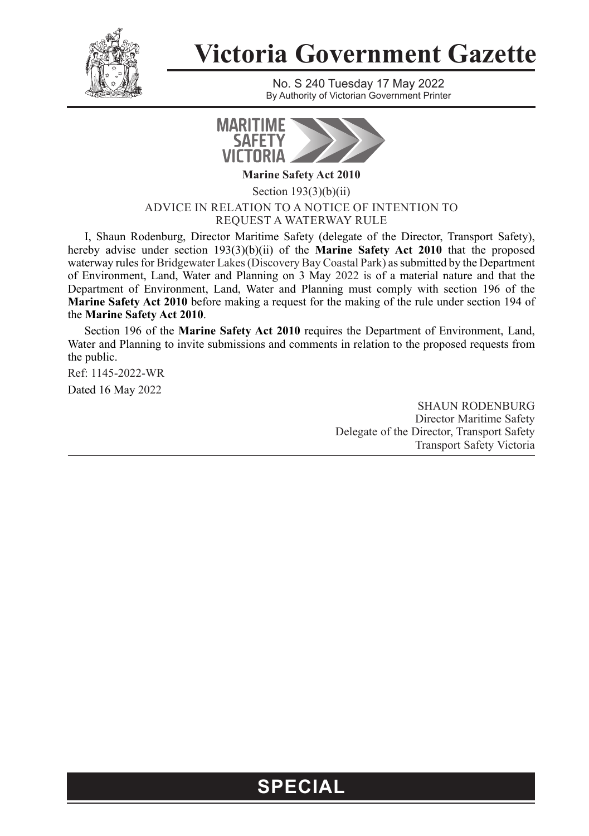

## **Victoria Government Gazette**

No. S 240 Tuesday 17 May 2022 By Authority of Victorian Government Printer



**Marine Safety Act 2010**

Section 193(3)(b)(ii) ADVICE IN RELATION TO A NOTICE OF INTENTION TO REQUEST A WATERWAY RULE

I, Shaun Rodenburg, Director Maritime Safety (delegate of the Director, Transport Safety), hereby advise under section 193(3)(b)(ii) of the **Marine Safety Act 2010** that the proposed waterway rules for Bridgewater Lakes (Discovery Bay Coastal Park) as submitted by the Department of Environment, Land, Water and Planning on 3 May 2022 is of a material nature and that the Department of Environment, Land, Water and Planning must comply with section 196 of the **Marine Safety Act 2010** before making a request for the making of the rule under section 194 of the **Marine Safety Act 2010**.

Section 196 of the **Marine Safety Act 2010** requires the Department of Environment, Land, Water and Planning to invite submissions and comments in relation to the proposed requests from the public.

Ref: 1145-2022-WR

Dated 16 May 2022

SHAUN RODENBURG Director Maritime Safety Delegate of the Director, Transport Safety Transport Safety Victoria

## **SPECIAL**